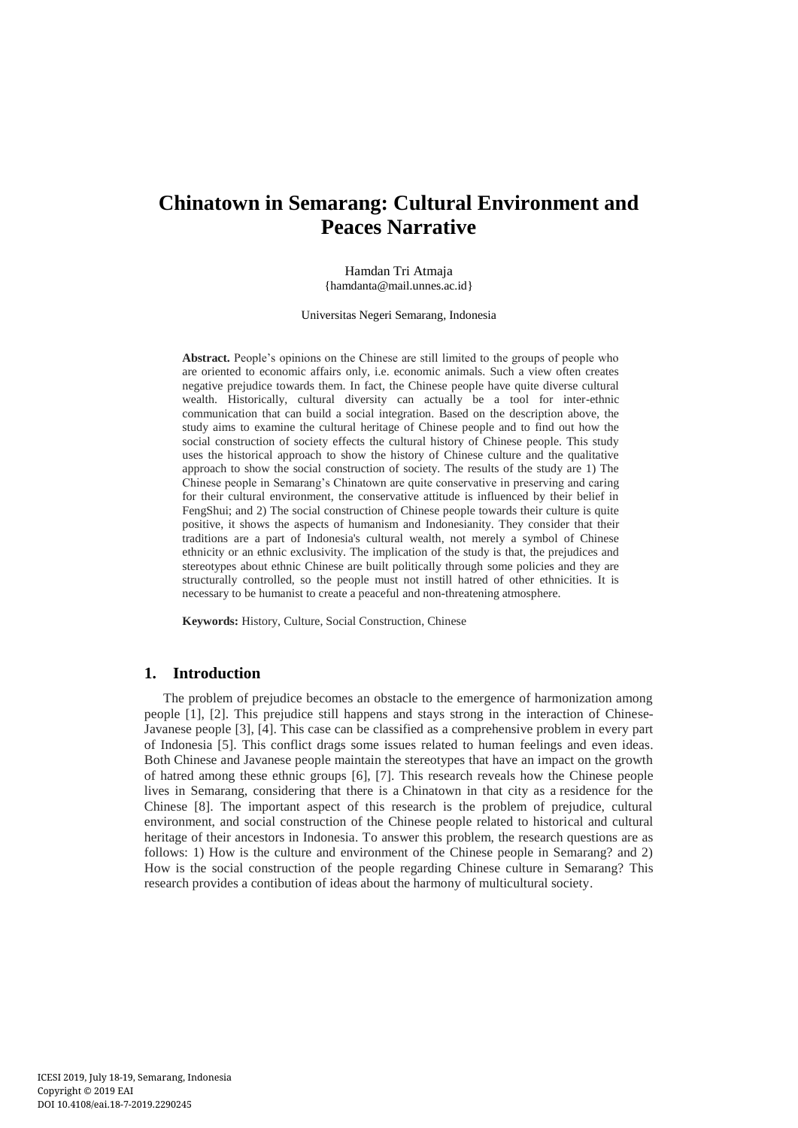# **Chinatown in Semarang: Cultural Environment and Peaces Narrative**

Hamdan Tri Atmaja {hamdanta@mail.unnes.ac.id}

Universitas Negeri Semarang, Indonesia

**Abstract.** People's opinions on the Chinese are still limited to the groups of people who are oriented to economic affairs only, i.e. economic animals. Such a view often creates negative prejudice towards them. In fact, the Chinese people have quite diverse cultural wealth. Historically, cultural diversity can actually be a tool for inter-ethnic communication that can build a social integration. Based on the description above, the study aims to examine the cultural heritage of Chinese people and to find out how the social construction of society effects the cultural history of Chinese people. This study uses the historical approach to show the history of Chinese culture and the qualitative approach to show the social construction of society. The results of the study are 1) The Chinese people in Semarang's Chinatown are quite conservative in preserving and caring for their cultural environment, the conservative attitude is influenced by their belief in FengShui; and 2) The social construction of Chinese people towards their culture is quite positive, it shows the aspects of humanism and Indonesianity. They consider that their traditions are a part of Indonesia's cultural wealth, not merely a symbol of Chinese ethnicity or an ethnic exclusivity. The implication of the study is that, the prejudices and stereotypes about ethnic Chinese are built politically through some policies and they are structurally controlled, so the people must not instill hatred of other ethnicities. It is necessary to be humanist to create a peaceful and non-threatening atmosphere.

**Keywords:** History, Culture, Social Construction, Chinese

## **1. Introduction**

The problem of prejudice becomes an obstacle to the emergence of harmonization among people [1], [2]. This prejudice still happens and stays strong in the interaction of Chinese-Javanese people [3], [4]. This case can be classified as a comprehensive problem in every part of Indonesia [5]. This conflict drags some issues related to human feelings and even ideas. Both Chinese and Javanese people maintain the stereotypes that have an impact on the growth of hatred among these ethnic groups [6], [7]. This research reveals how the Chinese people lives in Semarang, considering that there is a Chinatown in that city as a residence for the Chinese [8]. The important aspect of this research is the problem of prejudice, cultural environment, and social construction of the Chinese people related to historical and cultural heritage of their ancestors in Indonesia. To answer this problem, the research questions are as follows: 1) How is the culture and environment of the Chinese people in Semarang? and 2) How is the social construction of the people regarding Chinese culture in Semarang? This research provides a contibution of ideas about the harmony of multicultural society.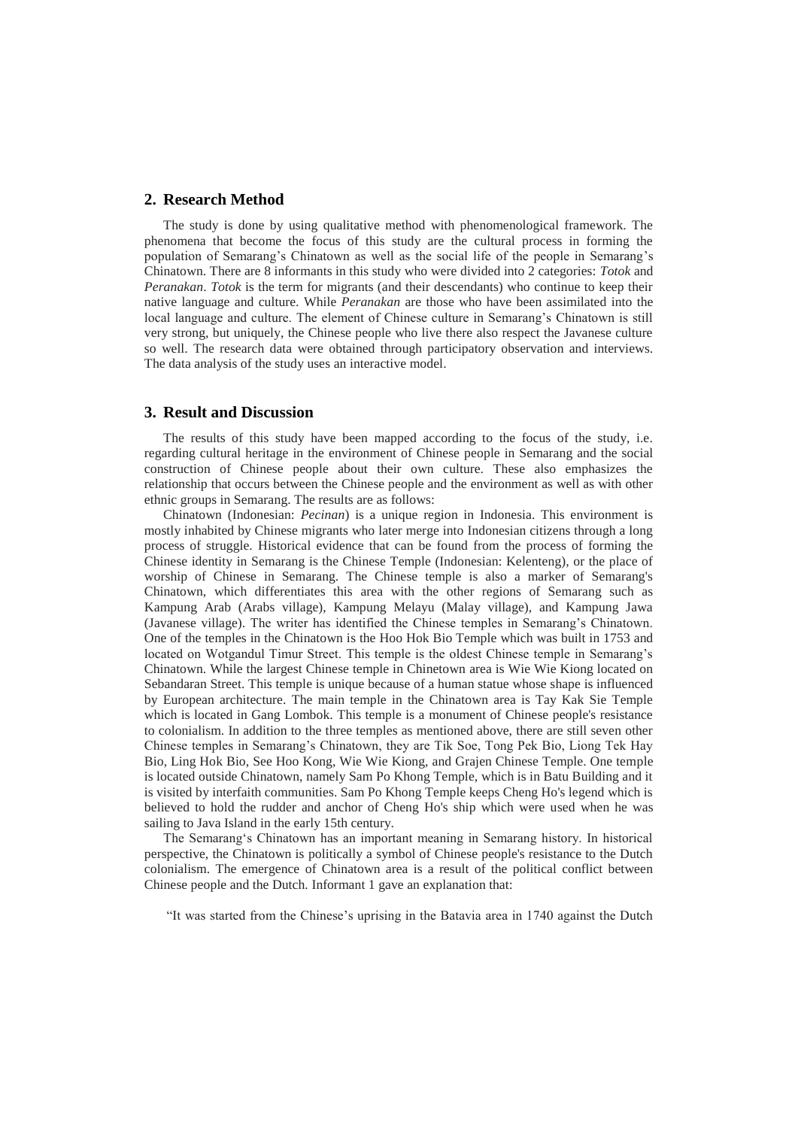## **2. Research Method**

The study is done by using qualitative method with phenomenological framework. The phenomena that become the focus of this study are the cultural process in forming the population of Semarang's Chinatown as well as the social life of the people in Semarang's Chinatown. There are 8 informants in this study who were divided into 2 categories: *Totok* and *Peranakan*. *Totok* is the term for migrants (and their descendants) who continue to keep their native language and culture. While *Peranakan* are those who have been assimilated into the local language and culture. The element of Chinese culture in Semarang's Chinatown is still very strong, but uniquely, the Chinese people who live there also respect the Javanese culture so well. The research data were obtained through participatory observation and interviews. The data analysis of the study uses an interactive model.

#### **3. Result and Discussion**

The results of this study have been mapped according to the focus of the study, i.e. regarding cultural heritage in the environment of Chinese people in Semarang and the social construction of Chinese people about their own culture. These also emphasizes the relationship that occurs between the Chinese people and the environment as well as with other ethnic groups in Semarang. The results are as follows:

Chinatown (Indonesian: *Pecinan*) is a unique region in Indonesia. This environment is mostly inhabited by Chinese migrants who later merge into Indonesian citizens through a long process of struggle. Historical evidence that can be found from the process of forming the Chinese identity in Semarang is the Chinese Temple (Indonesian: Kelenteng), or the place of worship of Chinese in Semarang. The Chinese temple is also a marker of Semarang's Chinatown, which differentiates this area with the other regions of Semarang such as Kampung Arab (Arabs village), Kampung Melayu (Malay village), and Kampung Jawa (Javanese village). The writer has identified the Chinese temples in Semarang's Chinatown. One of the temples in the Chinatown is the Hoo Hok Bio Temple which was built in 1753 and located on Wotgandul Timur Street. This temple is the oldest Chinese temple in Semarang's Chinatown. While the largest Chinese temple in Chinetown area is Wie Wie Kiong located on Sebandaran Street. This temple is unique because of a human statue whose shape is influenced by European architecture. The main temple in the Chinatown area is Tay Kak Sie Temple which is located in Gang Lombok. This temple is a monument of Chinese people's resistance to colonialism. In addition to the three temples as mentioned above, there are still seven other Chinese temples in Semarang's Chinatown, they are Tik Soe, Tong Pek Bio, Liong Tek Hay Bio, Ling Hok Bio, See Hoo Kong, Wie Wie Kiong, and Grajen Chinese Temple. One temple is located outside Chinatown, namely Sam Po Khong Temple, which is in Batu Building and it is visited by interfaith communities. Sam Po Khong Temple keeps Cheng Ho's legend which is believed to hold the rudder and anchor of Cheng Ho's ship which were used when he was sailing to Java Island in the early 15th century.

The Semarang's Chinatown has an important meaning in Semarang history. In historical perspective, the Chinatown is politically a symbol of Chinese people's resistance to the Dutch colonialism. The emergence of Chinatown area is a result of the political conflict between Chinese people and the Dutch. Informant 1 gave an explanation that:

"It was started from the Chinese's uprising in the Batavia area in 1740 against the Dutch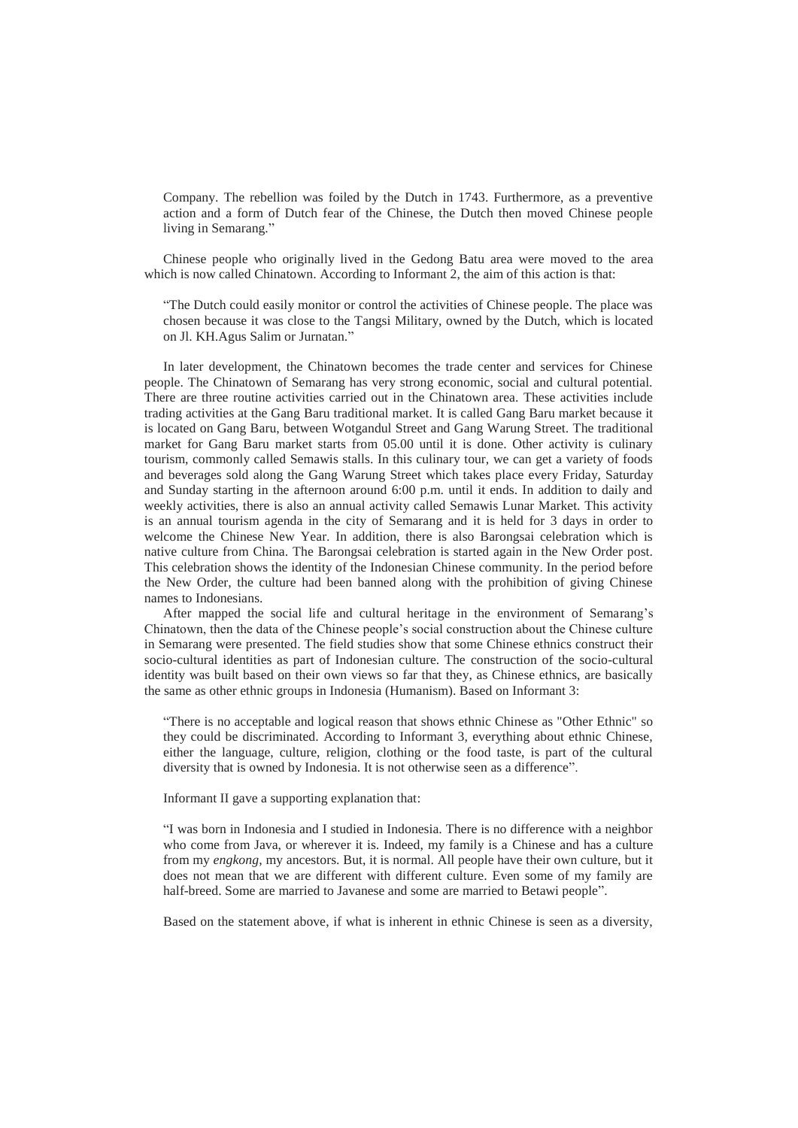Company. The rebellion was foiled by the Dutch in 1743. Furthermore, as a preventive action and a form of Dutch fear of the Chinese, the Dutch then moved Chinese people living in Semarang."

Chinese people who originally lived in the Gedong Batu area were moved to the area which is now called Chinatown. According to Informant 2, the aim of this action is that:

"The Dutch could easily monitor or control the activities of Chinese people. The place was chosen because it was close to the Tangsi Military, owned by the Dutch, which is located on Jl. KH.Agus Salim or Jurnatan."

In later development, the Chinatown becomes the trade center and services for Chinese people. The Chinatown of Semarang has very strong economic, social and cultural potential. There are three routine activities carried out in the Chinatown area. These activities include trading activities at the Gang Baru traditional market. It is called Gang Baru market because it is located on Gang Baru, between Wotgandul Street and Gang Warung Street. The traditional market for Gang Baru market starts from 05.00 until it is done. Other activity is culinary tourism, commonly called Semawis stalls. In this culinary tour, we can get a variety of foods and beverages sold along the Gang Warung Street which takes place every Friday, Saturday and Sunday starting in the afternoon around 6:00 p.m. until it ends. In addition to daily and weekly activities, there is also an annual activity called Semawis Lunar Market. This activity is an annual tourism agenda in the city of Semarang and it is held for 3 days in order to welcome the Chinese New Year. In addition, there is also Barongsai celebration which is native culture from China. The Barongsai celebration is started again in the New Order post. This celebration shows the identity of the Indonesian Chinese community. In the period before the New Order, the culture had been banned along with the prohibition of giving Chinese names to Indonesians.

After mapped the social life and cultural heritage in the environment of Semarang's Chinatown, then the data of the Chinese people's social construction about the Chinese culture in Semarang were presented. The field studies show that some Chinese ethnics construct their socio-cultural identities as part of Indonesian culture. The construction of the socio-cultural identity was built based on their own views so far that they, as Chinese ethnics, are basically the same as other ethnic groups in Indonesia (Humanism). Based on Informant 3:

"There is no acceptable and logical reason that shows ethnic Chinese as "Other Ethnic" so they could be discriminated. According to Informant 3, everything about ethnic Chinese, either the language, culture, religion, clothing or the food taste, is part of the cultural diversity that is owned by Indonesia. It is not otherwise seen as a difference".

Informant II gave a supporting explanation that:

"I was born in Indonesia and I studied in Indonesia. There is no difference with a neighbor who come from Java, or wherever it is. Indeed, my family is a Chinese and has a culture from my *engkong,* my ancestors. But, it is normal. All people have their own culture, but it does not mean that we are different with different culture. Even some of my family are half-breed. Some are married to Javanese and some are married to Betawi people".

Based on the statement above, if what is inherent in ethnic Chinese is seen as a diversity,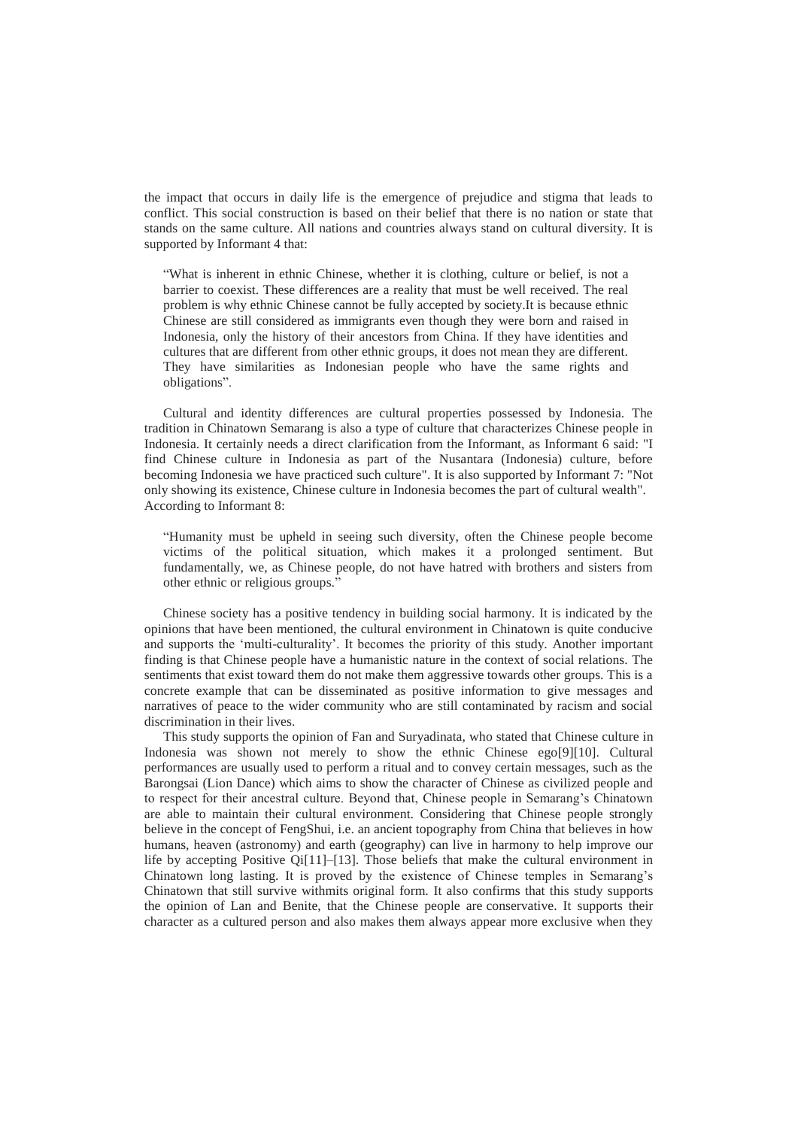the impact that occurs in daily life is the emergence of prejudice and stigma that leads to conflict. This social construction is based on their belief that there is no nation or state that stands on the same culture. All nations and countries always stand on cultural diversity. It is supported by Informant 4 that:

"What is inherent in ethnic Chinese, whether it is clothing, culture or belief, is not a barrier to coexist. These differences are a reality that must be well received. The real problem is why ethnic Chinese cannot be fully accepted by society.It is because ethnic Chinese are still considered as immigrants even though they were born and raised in Indonesia, only the history of their ancestors from China. If they have identities and cultures that are different from other ethnic groups, it does not mean they are different. They have similarities as Indonesian people who have the same rights and obligations".

Cultural and identity differences are cultural properties possessed by Indonesia. The tradition in Chinatown Semarang is also a type of culture that characterizes Chinese people in Indonesia. It certainly needs a direct clarification from the Informant, as Informant 6 said: "I find Chinese culture in Indonesia as part of the Nusantara (Indonesia) culture, before becoming Indonesia we have practiced such culture". It is also supported by Informant 7: "Not only showing its existence, Chinese culture in Indonesia becomes the part of cultural wealth". According to Informant 8:

"Humanity must be upheld in seeing such diversity, often the Chinese people become victims of the political situation, which makes it a prolonged sentiment. But fundamentally, we, as Chinese people, do not have hatred with brothers and sisters from other ethnic or religious groups."

Chinese society has a positive tendency in building social harmony. It is indicated by the opinions that have been mentioned, the cultural environment in Chinatown is quite conducive and supports the 'multi-culturality'. It becomes the priority of this study. Another important finding is that Chinese people have a humanistic nature in the context of social relations. The sentiments that exist toward them do not make them aggressive towards other groups. This is a concrete example that can be disseminated as positive information to give messages and narratives of peace to the wider community who are still contaminated by racism and social discrimination in their lives.

This study supports the opinion of Fan and Suryadinata, who stated that Chinese culture in Indonesia was shown not merely to show the ethnic Chinese ego[9][10]. Cultural performances are usually used to perform a ritual and to convey certain messages, such as the Barongsai (Lion Dance) which aims to show the character of Chinese as civilized people and to respect for their ancestral culture. Beyond that, Chinese people in Semarang's Chinatown are able to maintain their cultural environment. Considering that Chinese people strongly believe in the concept of FengShui, i.e. an ancient topography from China that believes in how humans, heaven (astronomy) and earth (geography) can live in harmony to help improve our life by accepting Positive Qi[11]–[13]. Those beliefs that make the cultural environment in Chinatown long lasting. It is proved by the existence of Chinese temples in Semarang's Chinatown that still survive withmits original form. It also confirms that this study supports the opinion of Lan and Benite, that the Chinese people are conservative. It supports their character as a cultured person and also makes them always appear more exclusive when they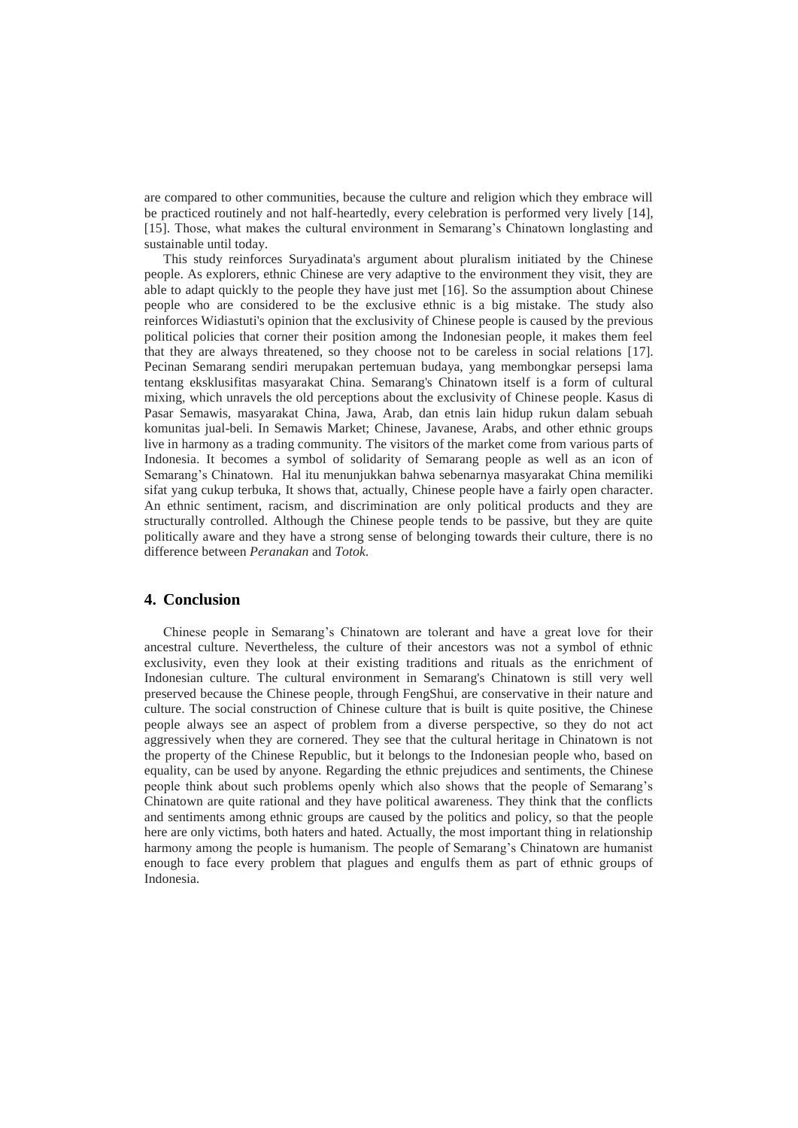are compared to other communities, because the culture and religion which they embrace will be practiced routinely and not half-heartedly, every celebration is performed very lively [14], [15]. Those, what makes the cultural environment in Semarang's Chinatown longlasting and sustainable until today.

This study reinforces Suryadinata's argument about pluralism initiated by the Chinese people. As explorers, ethnic Chinese are very adaptive to the environment they visit, they are able to adapt quickly to the people they have just met [16]. So the assumption about Chinese people who are considered to be the exclusive ethnic is a big mistake. The study also reinforces Widiastuti's opinion that the exclusivity of Chinese people is caused by the previous political policies that corner their position among the Indonesian people, it makes them feel that they are always threatened, so they choose not to be careless in social relations [17]. Pecinan Semarang sendiri merupakan pertemuan budaya, yang membongkar persepsi lama tentang eksklusifitas masyarakat China. Semarang's Chinatown itself is a form of cultural mixing, which unravels the old perceptions about the exclusivity of Chinese people. Kasus di Pasar Semawis, masyarakat China, Jawa, Arab, dan etnis lain hidup rukun dalam sebuah komunitas jual-beli. In Semawis Market; Chinese, Javanese, Arabs, and other ethnic groups live in harmony as a trading community. The visitors of the market come from various parts of Indonesia. It becomes a symbol of solidarity of Semarang people as well as an icon of Semarang's Chinatown. Hal itu menunjukkan bahwa sebenarnya masyarakat China memiliki sifat yang cukup terbuka, It shows that, actually, Chinese people have a fairly open character. An ethnic sentiment, racism, and discrimination are only political products and they are structurally controlled. Although the Chinese people tends to be passive, but they are quite politically aware and they have a strong sense of belonging towards their culture, there is no difference between *Peranakan* and *Totok*.

# **4. Conclusion**

Chinese people in Semarang's Chinatown are tolerant and have a great love for their ancestral culture. Nevertheless, the culture of their ancestors was not a symbol of ethnic exclusivity, even they look at their existing traditions and rituals as the enrichment of Indonesian culture. The cultural environment in Semarang's Chinatown is still very well preserved because the Chinese people, through FengShui, are conservative in their nature and culture. The social construction of Chinese culture that is built is quite positive, the Chinese people always see an aspect of problem from a diverse perspective, so they do not act aggressively when they are cornered. They see that the cultural heritage in Chinatown is not the property of the Chinese Republic, but it belongs to the Indonesian people who, based on equality, can be used by anyone. Regarding the ethnic prejudices and sentiments, the Chinese people think about such problems openly which also shows that the people of Semarang's Chinatown are quite rational and they have political awareness. They think that the conflicts and sentiments among ethnic groups are caused by the politics and policy, so that the people here are only victims, both haters and hated. Actually, the most important thing in relationship harmony among the people is humanism. The people of Semarang's Chinatown are humanist enough to face every problem that plagues and engulfs them as part of ethnic groups of Indonesia.